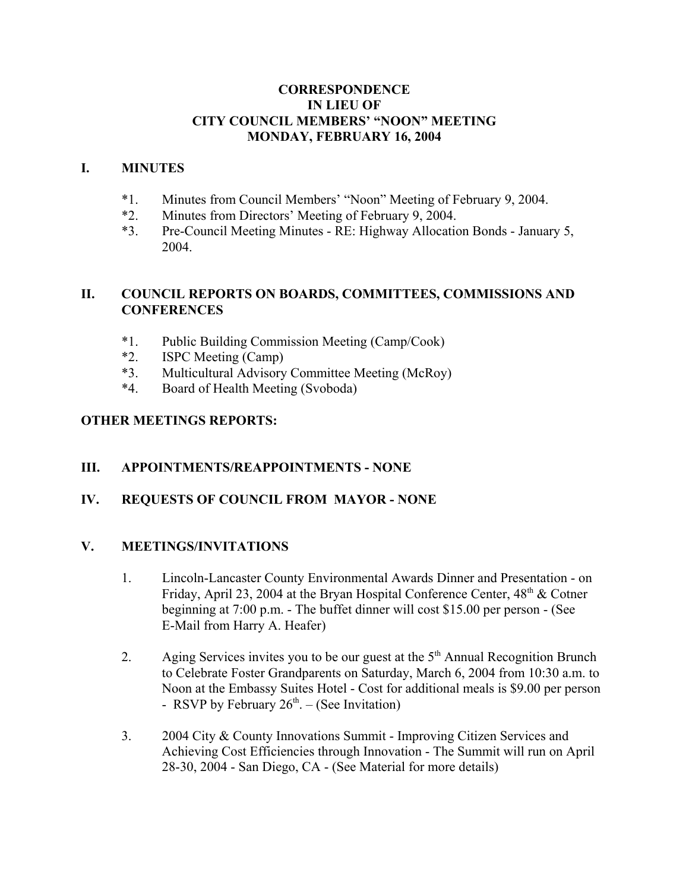#### **CORRESPONDENCE IN LIEU OF CITY COUNCIL MEMBERS' "NOON" MEETING MONDAY, FEBRUARY 16, 2004**

#### **I. MINUTES**

- \*1. Minutes from Council Members' "Noon" Meeting of February 9, 2004.
- \*2. Minutes from Directors' Meeting of February 9, 2004.
- \*3. Pre-Council Meeting Minutes RE: Highway Allocation Bonds January 5, 2004.

### **II. COUNCIL REPORTS ON BOARDS, COMMITTEES, COMMISSIONS AND CONFERENCES**

- \*1. Public Building Commission Meeting (Camp/Cook)
- \*2. ISPC Meeting (Camp)
- \*3. Multicultural Advisory Committee Meeting (McRoy)
- \*4. Board of Health Meeting (Svoboda)

## **OTHER MEETINGS REPORTS:**

### **III. APPOINTMENTS/REAPPOINTMENTS - NONE**

# **IV. REQUESTS OF COUNCIL FROM MAYOR - NONE**

### **V. MEETINGS/INVITATIONS**

- 1. Lincoln-Lancaster County Environmental Awards Dinner and Presentation on Friday, April 23, 2004 at the Bryan Hospital Conference Center,  $48<sup>th</sup>$  & Cotner beginning at 7:00 p.m. - The buffet dinner will cost \$15.00 per person - (See E-Mail from Harry A. Heafer)
- 2. Aging Services invites you to be our guest at the  $5<sup>th</sup>$  Annual Recognition Brunch to Celebrate Foster Grandparents on Saturday, March 6, 2004 from 10:30 a.m. to Noon at the Embassy Suites Hotel - Cost for additional meals is \$9.00 per person - RSVP by February  $26<sup>th</sup>$ . – (See Invitation)
- 3. 2004 City & County Innovations Summit Improving Citizen Services and Achieving Cost Efficiencies through Innovation - The Summit will run on April 28-30, 2004 - San Diego, CA - (See Material for more details)